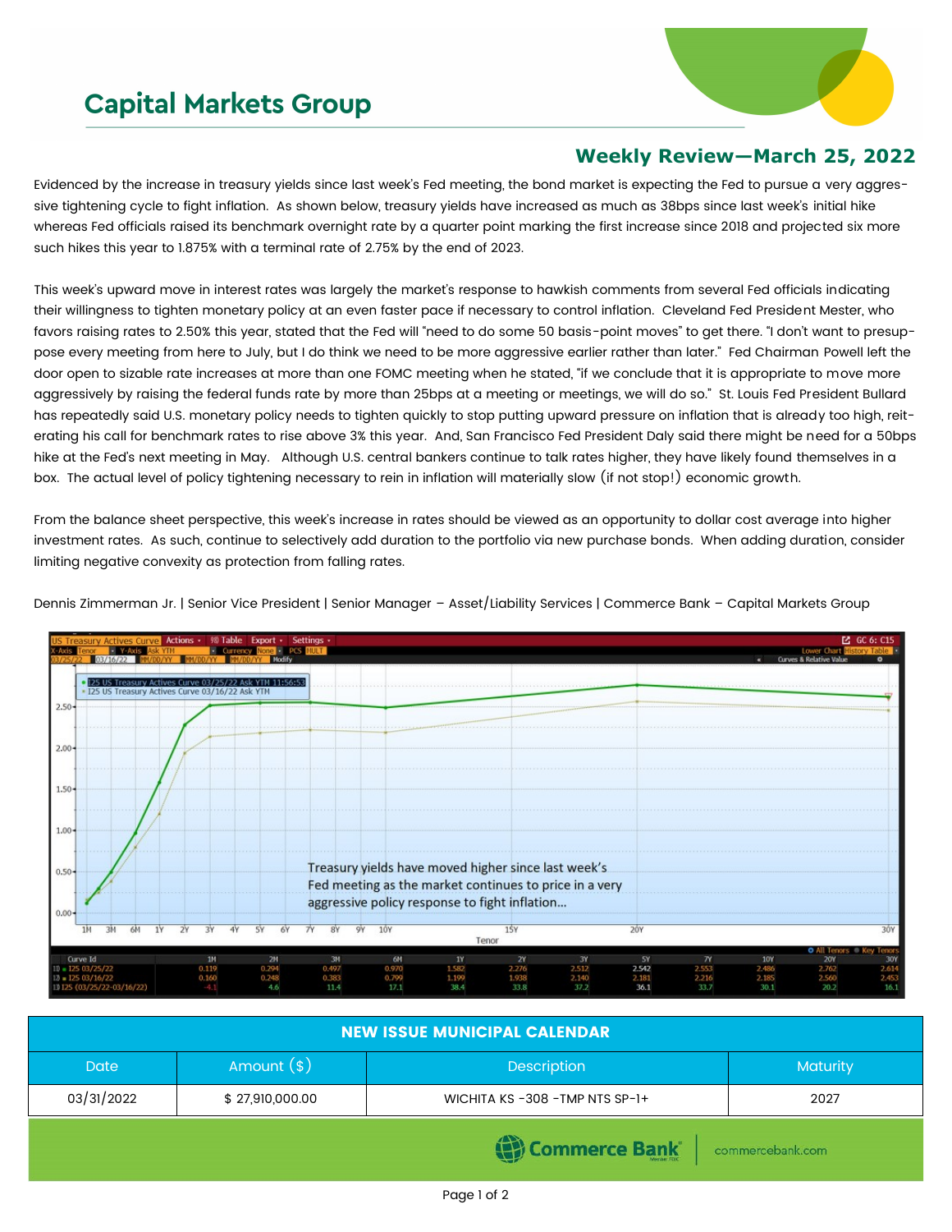## **Capital Markets Group**



## **Weekly Review—March 25, 2022**

Evidenced by the increase in treasury yields since last week's Fed meeting, the bond market is expecting the Fed to pursue a very aggressive tightening cycle to fight inflation. As shown below, treasury yields have increased as much as 38bps since last week's initial hike whereas Fed officials raised its benchmark overnight rate by a quarter point marking the first increase since 2018 and projected six more such hikes this year to 1.875% with a terminal rate of 2.75% by the end of 2023.

This week's upward move in interest rates was largely the market's response to hawkish comments from several Fed officials indicating their willingness to tighten monetary policy at an even faster pace if necessary to control inflation. Cleveland Fed President Mester, who favors raising rates to 2.50% this year, stated that the Fed will "need to do some 50 basis-point moves" to get there. "I don't want to presuppose every meeting from here to July, but I do think we need to be more aggressive earlier rather than later." Fed Chairman Powell left the door open to sizable rate increases at more than one FOMC meeting when he stated, "if we conclude that it is appropriate to move more aggressively by raising the federal funds rate by more than 25bps at a meeting or meetings, we will do so." St. Louis Fed President Bullard has repeatedly said U.S. monetary policy needs to tighten quickly to stop putting upward pressure on inflation that is already too high, reiterating his call for benchmark rates to rise above 3% this year. And, San Francisco Fed President Daly said there might be need for a 50bps hike at the Fed's next meeting in May. Although U.S. central bankers continue to talk rates higher, they have likely found themselves in a box. The actual level of policy tightening necessary to rein in inflation will materially slow (if not stop!) economic growth.

From the balance sheet perspective, this week's increase in rates should be viewed as an opportunity to dollar cost average into higher investment rates. As such, continue to selectively add duration to the portfolio via new purchase bonds. When adding duration, consider limiting negative convexity as protection from falling rates.

| US Treasury Actives Curve Actions . 98 Table Export . Settings . |                         |                            |                    |           |                                                        |       |       |       |               |                |                                    | ■ GC 6: C15  |
|------------------------------------------------------------------|-------------------------|----------------------------|--------------------|-----------|--------------------------------------------------------|-------|-------|-------|---------------|----------------|------------------------------------|--------------|
| $Y - A x is$<br>sk YTM                                           | $\blacksquare$ Currency | <b>Vone &amp; PGS HULT</b> |                    |           |                                                        |       |       |       |               |                | Lower Chart History Table          |              |
| 03/16/22                                                         |                         | Modify                     |                    |           |                                                        |       |       |       |               | $\blacksquare$ | <b>Curves &amp; Relative Value</b> | ۰            |
|                                                                  |                         |                            |                    |           |                                                        |       |       |       |               |                |                                    |              |
| I25 US Treasury Actives Curve 03/25/22 Ask YTM 11:56:53          |                         |                            |                    |           |                                                        |       |       |       |               |                |                                    |              |
| - I25 US Treasury Actives Curve 03/16/22 Ask YTM                 |                         |                            |                    |           |                                                        |       |       |       |               |                |                                    |              |
| $2.50 -$                                                         |                         |                            |                    |           |                                                        |       |       |       |               |                |                                    |              |
|                                                                  |                         |                            |                    |           |                                                        |       |       |       |               |                |                                    |              |
|                                                                  |                         |                            | $-1.1 - 1.1 - 1.1$ |           |                                                        |       |       |       |               |                |                                    |              |
|                                                                  |                         |                            |                    |           |                                                        |       |       |       |               |                |                                    |              |
| $2.00 -$                                                         |                         |                            |                    |           |                                                        |       |       |       |               |                |                                    |              |
|                                                                  |                         |                            |                    |           |                                                        |       |       |       |               |                |                                    |              |
|                                                                  |                         |                            |                    |           |                                                        |       |       |       |               |                |                                    |              |
|                                                                  |                         |                            |                    |           |                                                        |       |       |       |               |                |                                    |              |
| $1.50 -$                                                         |                         |                            |                    |           |                                                        |       |       |       |               |                |                                    |              |
|                                                                  |                         |                            |                    |           |                                                        |       |       |       |               |                |                                    |              |
|                                                                  |                         |                            |                    |           |                                                        |       |       |       |               |                |                                    |              |
|                                                                  |                         |                            |                    |           |                                                        |       |       |       |               |                |                                    |              |
| $1.00 -$                                                         |                         |                            |                    |           |                                                        |       |       |       |               |                |                                    |              |
|                                                                  |                         |                            |                    |           |                                                        |       |       |       |               |                |                                    |              |
|                                                                  |                         |                            |                    |           |                                                        |       |       |       |               |                |                                    |              |
|                                                                  |                         |                            |                    |           |                                                        |       |       |       |               |                |                                    |              |
| $0.50 -$                                                         |                         |                            |                    |           | Treasury yields have moved higher since last week's    |       |       |       |               |                |                                    |              |
|                                                                  |                         |                            |                    |           | Fed meeting as the market continues to price in a very |       |       |       |               |                |                                    |              |
|                                                                  |                         |                            |                    |           |                                                        |       |       |       |               |                |                                    |              |
|                                                                  |                         |                            |                    |           | aggressive policy response to fight inflation          |       |       |       |               |                |                                    |              |
| $0.00 -$                                                         |                         |                            |                    |           |                                                        |       |       |       |               |                |                                    |              |
|                                                                  | 7٧<br>٦Y                | 6Y<br>۲V                   | 7Υ<br>8Y           | 9Y<br>10Y |                                                        | 15Y   |       | 20Y   |               |                |                                    | 30Y          |
|                                                                  |                         |                            |                    |           | Tenor                                                  |       |       |       |               |                |                                    |              |
|                                                                  |                         |                            |                    |           |                                                        |       |       |       |               |                | <b>O</b> All Tenors                | ® Key Tenors |
| Curve Id                                                         | 1M                      | 2M                         | 3M                 | 6M        | 1Y                                                     | 2Y    | 3Y    | 5Y    | $\mathcal{N}$ | <b>10Y</b>     | 20Y                                | 30Y          |
| $II = 12503/25/22$                                               | 0.119                   | 0.294                      | 0.497              | 0.970     | 1.582                                                  | 2.276 | 2.512 | 2.542 | 2.553         | 2.486          | 2.762                              | 2.614        |
| $12 = 12503/16/22$                                               | 0.160                   | 0.248                      | 0.383              | 0.799     | 1.199                                                  | 1.938 | 2.140 | 2.181 | 2.216         | 2.185          | 2.560                              | 2.453        |
| 13 125 (03/25/22-03/16/22)                                       | $-4.1$                  | 4.6                        | 11.4               | 17.1      | 38.4                                                   | 33.8  | 37.2  | 36.1  | 33.7          | 30.1           | 20.2                               | 16.1         |

Dennis Zimmerman Jr. | Senior Vice President | Senior Manager – Asset/Liability Services | Commerce Bank – Capital Markets Group

| <b>NEW ISSUE MUNICIPAL CALENDAR</b> |                 |                                |                  |  |  |  |  |
|-------------------------------------|-----------------|--------------------------------|------------------|--|--|--|--|
| <b>Date</b>                         | Amount $(*)$    | Description                    | Maturity         |  |  |  |  |
| 03/31/2022                          | \$27,910,000.00 | WICHITA KS-308 - TMP NTS SP-1+ | 2027             |  |  |  |  |
|                                     |                 | <b>Commerce Bank</b>           | commercebank.com |  |  |  |  |